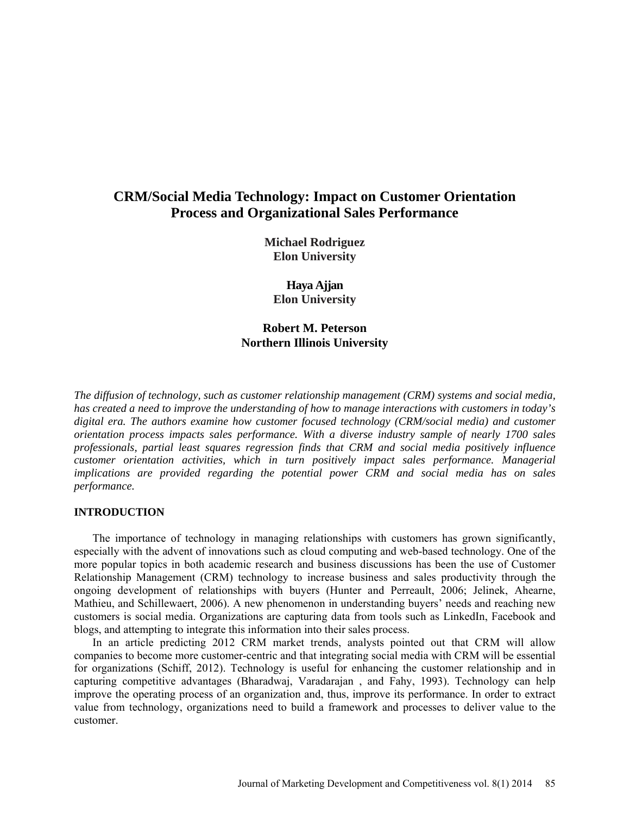# **CRM/Social Media Technology: Impact on Customer Orientation Process and Organizational Sales Performance**

**Michael Rodriguez Elon University**

**Haya Ajjan Elon University**

## **Robert M. Peterson Northern Illinois University**

*The diffusion of technology, such as customer relationship management (CRM) systems and social media, has created a need to improve the understanding of how to manage interactions with customers in today's digital era. The authors examine how customer focused technology (CRM/social media) and customer orientation process impacts sales performance. With a diverse industry sample of nearly 1700 sales professionals, partial least squares regression finds that CRM and social media positively influence customer orientation activities, which in turn positively impact sales performance. Managerial implications are provided regarding the potential power CRM and social media has on sales performance.* 

## **INTRODUCTION**

The importance of technology in managing relationships with customers has grown significantly, especially with the advent of innovations such as cloud computing and web-based technology. One of the more popular topics in both academic research and business discussions has been the use of Customer Relationship Management (CRM) technology to increase business and sales productivity through the ongoing development of relationships with buyers (Hunter and Perreault, 2006; Jelinek, Ahearne, Mathieu, and Schillewaert, 2006). A new phenomenon in understanding buyers' needs and reaching new customers is social media. Organizations are capturing data from tools such as LinkedIn, Facebook and blogs, and attempting to integrate this information into their sales process.

In an article predicting 2012 CRM market trends, analysts pointed out that CRM will allow companies to become more customer-centric and that integrating social media with CRM will be essential for organizations (Schiff, 2012). Technology is useful for enhancing the customer relationship and in capturing competitive advantages (Bharadwaj, Varadarajan , and Fahy, 1993). Technology can help improve the operating process of an organization and, thus, improve its performance. In order to extract value from technology, organizations need to build a framework and processes to deliver value to the customer.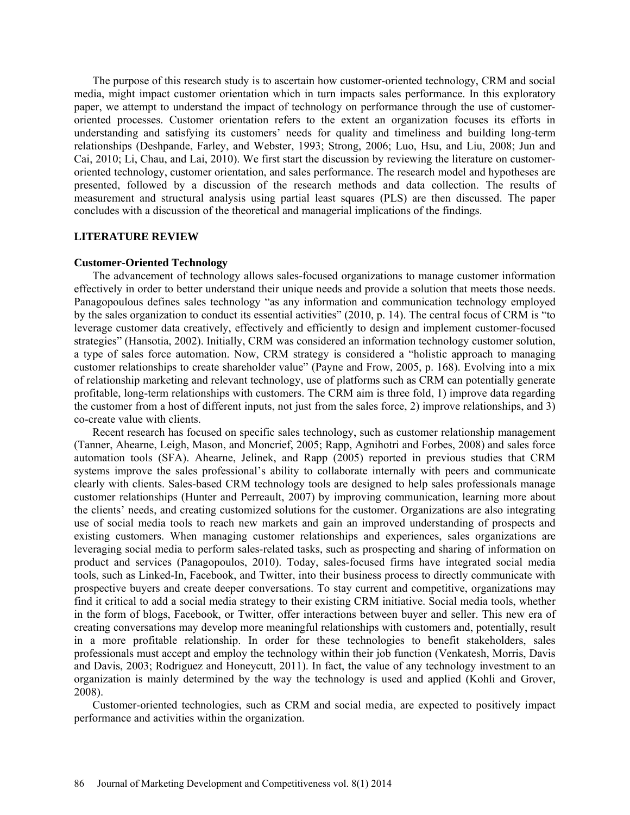The purpose of this research study is to ascertain how customer-oriented technology, CRM and social media, might impact customer orientation which in turn impacts sales performance. In this exploratory paper, we attempt to understand the impact of technology on performance through the use of customeroriented processes. Customer orientation refers to the extent an organization focuses its efforts in understanding and satisfying its customers' needs for quality and timeliness and building long-term relationships (Deshpande, Farley, and Webster, 1993; Strong, 2006; Luo, Hsu, and Liu, 2008; Jun and Cai, 2010; Li, Chau, and Lai, 2010). We first start the discussion by reviewing the literature on customeroriented technology, customer orientation, and sales performance. The research model and hypotheses are presented, followed by a discussion of the research methods and data collection. The results of measurement and structural analysis using partial least squares (PLS) are then discussed. The paper concludes with a discussion of the theoretical and managerial implications of the findings.

## **LITERATURE REVIEW**

#### **Customer-Oriented Technology**

The advancement of technology allows sales-focused organizations to manage customer information effectively in order to better understand their unique needs and provide a solution that meets those needs. Panagopoulous defines sales technology "as any information and communication technology employed by the sales organization to conduct its essential activities" (2010, p. 14). The central focus of CRM is "to leverage customer data creatively, effectively and efficiently to design and implement customer-focused strategies" (Hansotia, 2002). Initially, CRM was considered an information technology customer solution, a type of sales force automation. Now, CRM strategy is considered a "holistic approach to managing customer relationships to create shareholder value" (Payne and Frow, 2005, p. 168). Evolving into a mix of relationship marketing and relevant technology, use of platforms such as CRM can potentially generate profitable, long-term relationships with customers. The CRM aim is three fold, 1) improve data regarding the customer from a host of different inputs, not just from the sales force, 2) improve relationships, and 3) co-create value with clients.

Recent research has focused on specific sales technology, such as customer relationship management (Tanner, Ahearne, Leigh, Mason, and Moncrief, 2005; Rapp, Agnihotri and Forbes, 2008) and sales force automation tools (SFA). Ahearne, Jelinek, and Rapp (2005) reported in previous studies that CRM systems improve the sales professional's ability to collaborate internally with peers and communicate clearly with clients. Sales-based CRM technology tools are designed to help sales professionals manage customer relationships (Hunter and Perreault, 2007) by improving communication, learning more about the clients' needs, and creating customized solutions for the customer. Organizations are also integrating use of social media tools to reach new markets and gain an improved understanding of prospects and existing customers. When managing customer relationships and experiences, sales organizations are leveraging social media to perform sales-related tasks, such as prospecting and sharing of information on product and services (Panagopoulos, 2010). Today, sales-focused firms have integrated social media tools, such as Linked-In, Facebook, and Twitter, into their business process to directly communicate with prospective buyers and create deeper conversations. To stay current and competitive, organizations may find it critical to add a social media strategy to their existing CRM initiative. Social media tools, whether in the form of blogs, Facebook, or Twitter, offer interactions between buyer and seller. This new era of creating conversations may develop more meaningful relationships with customers and, potentially, result in a more profitable relationship. In order for these technologies to benefit stakeholders, sales professionals must accept and employ the technology within their job function (Venkatesh, Morris, Davis and Davis, 2003; Rodriguez and Honeycutt, 2011). In fact, the value of any technology investment to an organization is mainly determined by the way the technology is used and applied (Kohli and Grover, 2008).

Customer-oriented technologies, such as CRM and social media, are expected to positively impact performance and activities within the organization.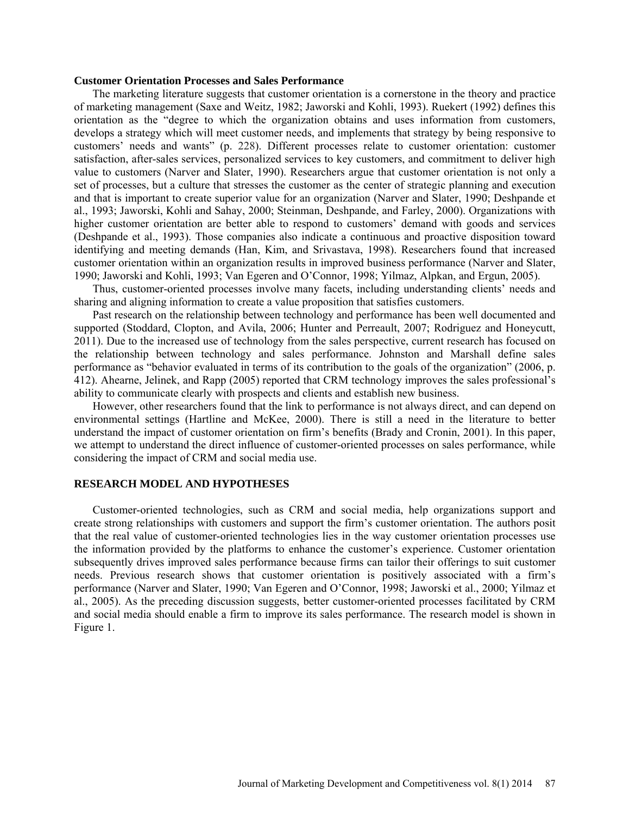### **Customer Orientation Processes and Sales Performance**

The marketing literature suggests that customer orientation is a cornerstone in the theory and practice of marketing management (Saxe and Weitz, 1982; Jaworski and Kohli, 1993). Ruekert (1992) defines this orientation as the "degree to which the organization obtains and uses information from customers, develops a strategy which will meet customer needs, and implements that strategy by being responsive to customers' needs and wants" (p. 228). Different processes relate to customer orientation: customer satisfaction, after-sales services, personalized services to key customers, and commitment to deliver high value to customers (Narver and Slater, 1990). Researchers argue that customer orientation is not only a set of processes, but a culture that stresses the customer as the center of strategic planning and execution and that is important to create superior value for an organization (Narver and Slater, 1990; Deshpande et al., 1993; Jaworski, Kohli and Sahay, 2000; Steinman, Deshpande, and Farley, 2000). Organizations with higher customer orientation are better able to respond to customers' demand with goods and services (Deshpande et al., 1993). Those companies also indicate a continuous and proactive disposition toward identifying and meeting demands (Han, Kim, and Srivastava, 1998). Researchers found that increased customer orientation within an organization results in improved business performance (Narver and Slater, 1990; Jaworski and Kohli, 1993; Van Egeren and O'Connor, 1998; Yilmaz, Alpkan, and Ergun, 2005).

Thus, customer-oriented processes involve many facets, including understanding clients' needs and sharing and aligning information to create a value proposition that satisfies customers.

Past research on the relationship between technology and performance has been well documented and supported (Stoddard, Clopton, and Avila, 2006; Hunter and Perreault, 2007; Rodriguez and Honeycutt, 2011). Due to the increased use of technology from the sales perspective, current research has focused on the relationship between technology and sales performance. Johnston and Marshall define sales performance as "behavior evaluated in terms of its contribution to the goals of the organization" (2006, p. 412). Ahearne, Jelinek, and Rapp (2005) reported that CRM technology improves the sales professional's ability to communicate clearly with prospects and clients and establish new business.

However, other researchers found that the link to performance is not always direct, and can depend on environmental settings (Hartline and McKee, 2000). There is still a need in the literature to better understand the impact of customer orientation on firm's benefits (Brady and Cronin, 2001). In this paper, we attempt to understand the direct influence of customer-oriented processes on sales performance, while considering the impact of CRM and social media use.

### **RESEARCH MODEL AND HYPOTHESES**

Customer-oriented technologies, such as CRM and social media, help organizations support and create strong relationships with customers and support the firm's customer orientation. The authors posit that the real value of customer-oriented technologies lies in the way customer orientation processes use the information provided by the platforms to enhance the customer's experience. Customer orientation subsequently drives improved sales performance because firms can tailor their offerings to suit customer needs. Previous research shows that customer orientation is positively associated with a firm's performance (Narver and Slater, 1990; Van Egeren and O'Connor, 1998; Jaworski et al., 2000; Yilmaz et al., 2005). As the preceding discussion suggests, better customer-oriented processes facilitated by CRM and social media should enable a firm to improve its sales performance. The research model is shown in Figure 1.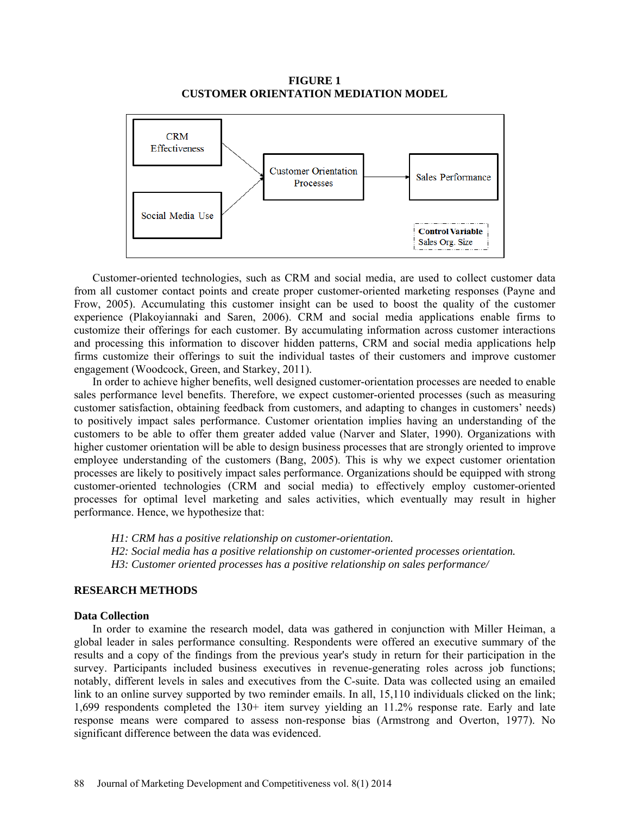**FIGURE 1 CUSTOMER ORIENTATION MEDIATION MODEL**



Customer-oriented technologies, such as CRM and social media, are used to collect customer data from all customer contact points and create proper customer-oriented marketing responses (Payne and Frow, 2005). Accumulating this customer insight can be used to boost the quality of the customer experience (Plakoyiannaki and Saren, 2006). CRM and social media applications enable firms to customize their offerings for each customer. By accumulating information across customer interactions and processing this information to discover hidden patterns, CRM and social media applications help firms customize their offerings to suit the individual tastes of their customers and improve customer engagement (Woodcock, Green, and Starkey, 2011).

In order to achieve higher benefits, well designed customer-orientation processes are needed to enable sales performance level benefits. Therefore, we expect customer-oriented processes (such as measuring customer satisfaction, obtaining feedback from customers, and adapting to changes in customers' needs) to positively impact sales performance. Customer orientation implies having an understanding of the customers to be able to offer them greater added value (Narver and Slater, 1990). Organizations with higher customer orientation will be able to design business processes that are strongly oriented to improve employee understanding of the customers (Bang, 2005). This is why we expect customer orientation processes are likely to positively impact sales performance. Organizations should be equipped with strong customer-oriented technologies (CRM and social media) to effectively employ customer-oriented processes for optimal level marketing and sales activities, which eventually may result in higher performance. Hence, we hypothesize that:

- *H1: CRM has a positive relationship on customer-orientation.*
- *H2: Social media has a positive relationship on customer-oriented processes orientation.*
- *H3: Customer oriented processes has a positive relationship on sales performance/*

## **RESEARCH METHODS**

### **Data Collection**

In order to examine the research model, data was gathered in conjunction with Miller Heiman, a global leader in sales performance consulting. Respondents were offered an executive summary of the results and a copy of the findings from the previous year's study in return for their participation in the survey. Participants included business executives in revenue-generating roles across job functions; notably, different levels in sales and executives from the C-suite. Data was collected using an emailed link to an online survey supported by two reminder emails. In all, 15,110 individuals clicked on the link; 1,699 respondents completed the 130+ item survey yielding an 11.2% response rate. Early and late response means were compared to assess non-response bias (Armstrong and Overton, 1977). No significant difference between the data was evidenced.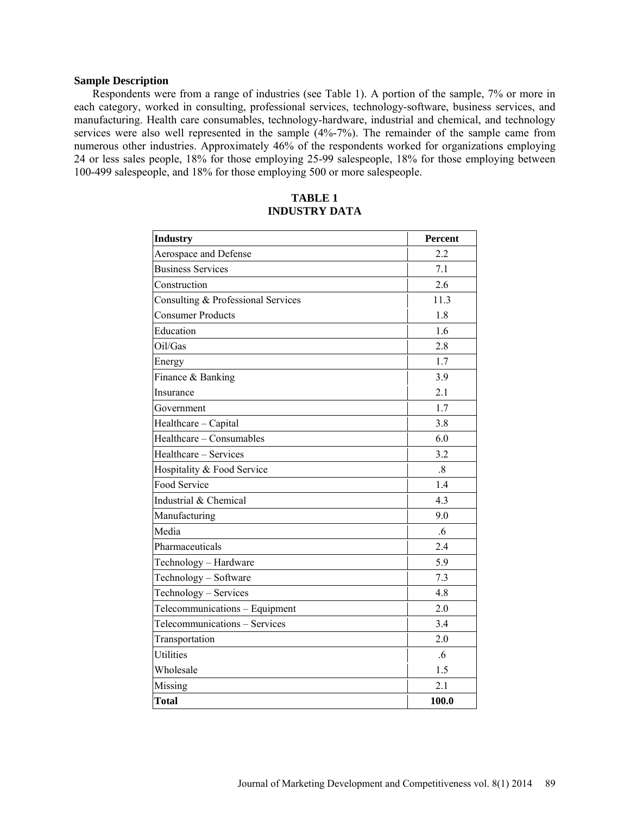## **Sample Description**

Respondents were from a range of industries (see Table 1). A portion of the sample, 7% or more in each category, worked in consulting, professional services, technology-software, business services, and manufacturing. Health care consumables, technology-hardware, industrial and chemical, and technology services were also well represented in the sample (4%-7%). The remainder of the sample came from numerous other industries. Approximately 46% of the respondents worked for organizations employing 24 or less sales people, 18% for those employing 25-99 salespeople, 18% for those employing between 100-499 salespeople, and 18% for those employing 500 or more salespeople.

| Industry                           | Percent                |
|------------------------------------|------------------------|
| Aerospace and Defense              | 2.2                    |
| <b>Business Services</b>           | 7.1                    |
| Construction                       | 2.6                    |
| Consulting & Professional Services | 11.3                   |
| <b>Consumer Products</b>           | 1.8                    |
| Education                          | 1.6                    |
| Oil/Gas                            | 2.8                    |
| Energy                             | 1.7                    |
| Finance & Banking                  | 3.9                    |
| Insurance                          | 2.1                    |
| Government                         | 1.7                    |
| Healthcare - Capital               | 3.8                    |
| Healthcare - Consumables           | 6.0                    |
| Healthcare - Services              | 3.2                    |
| Hospitality & Food Service         | $\cdot$ <sup>8</sup> . |
| Food Service                       | 1.4                    |
| Industrial & Chemical              | 4.3                    |
| Manufacturing                      | 9.0                    |
| Media                              | .6                     |
| Pharmaceuticals                    | 2.4                    |
| Technology - Hardware              | 5.9                    |
| Technology - Software              | 7.3                    |
| Technology - Services              | 4.8                    |
| Telecommunications - Equipment     | 2.0                    |
| Telecommunications - Services      | 3.4                    |
| Transportation                     | 2.0                    |
| <b>Utilities</b>                   | .6                     |
| Wholesale                          | 1.5                    |
| Missing                            | 2.1                    |
| <b>Total</b>                       | 100.0                  |

## **TABLE 1 INDUSTRY DATA**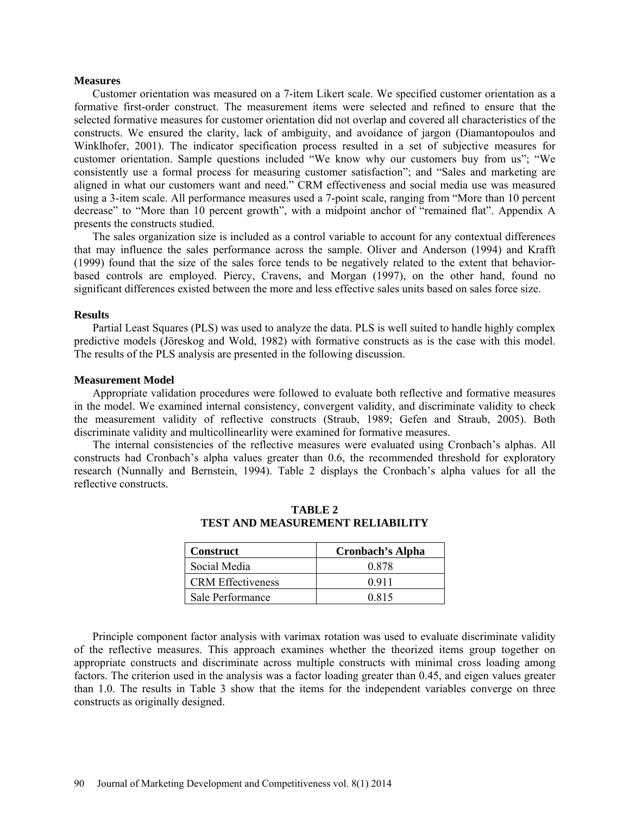#### **Measures**

Customer orientation was measured on a 7-item Likert scale. We specified customer orientation as a formative first-order construct. The measurement items were selected and refined to ensure that the selected formative measures for customer orientation did not overlap and covered all characteristics of the constructs. We ensured the clarity, lack of ambiguity, and avoidance of jargon (Diamantopoulos and Winklhofer, 2001). The indicator specification process resulted in a set of subjective measures for customer orientation. Sample questions included "We know why our customers buy from us"; "We consistently use a formal process for measuring customer satisfaction"; and "Sales and marketing are aligned in what our customers want and need." CRM effectiveness and social media use was measured using a 3-item scale. All performance measures used a 7-point scale, ranging from "More than 10 percent decrease" to "More than 10 percent growth", with a midpoint anchor of "remained flat". Appendix A presents the constructs studied.

The sales organization size is included as a control variable to account for any contextual differences that may influence the sales performance across the sample. Oliver and Anderson (1994) and Krafft (1999) found that the size of the sales force tends to be negatively related to the extent that behaviorbased controls are employed. Piercy, Cravens, and Morgan (1997), on the other hand, found no significant differences existed between the more and less effective sales units based on sales force size.

### **Results**

Partial Least Squares (PLS) was used to analyze the data. PLS is well suited to handle highly complex predictive models (Jöreskog and Wold, 1982) with formative constructs as is the case with this model. The results of the PLS analysis are presented in the following discussion.

### **Measurement Model**

Appropriate validation procedures were followed to evaluate both reflective and formative measures in the model. We examined internal consistency, convergent validity, and discriminate validity to check the measurement validity of reflective constructs (Straub, 1989; Gefen and Straub, 2005). Both discriminate validity and multicollinearlity were examined for formative measures.

The internal consistencies of the reflective measures were evaluated using Cronbach's alphas. All constructs had Cronbach's alpha values greater than 0.6, the recommended threshold for exploratory research (Nunnally and Bernstein, 1994). Table 2 displays the Cronbach's alpha values for all the reflective constructs.

| <b>Construct</b>         | <b>Cronbach's Alpha</b> |
|--------------------------|-------------------------|
| Social Media             | 0.878                   |
| <b>CRM</b> Effectiveness | 0.911                   |
| Sale Performance         | 0.815                   |

**TABLE 2 TEST AND MEASUREMENT RELIABILITY**

Principle component factor analysis with varimax rotation was used to evaluate discriminate validity of the reflective measures. This approach examines whether the theorized items group together on appropriate constructs and discriminate across multiple constructs with minimal cross loading among factors. The criterion used in the analysis was a factor loading greater than 0.45, and eigen values greater than 1.0. The results in Table 3 show that the items for the independent variables converge on three constructs as originally designed.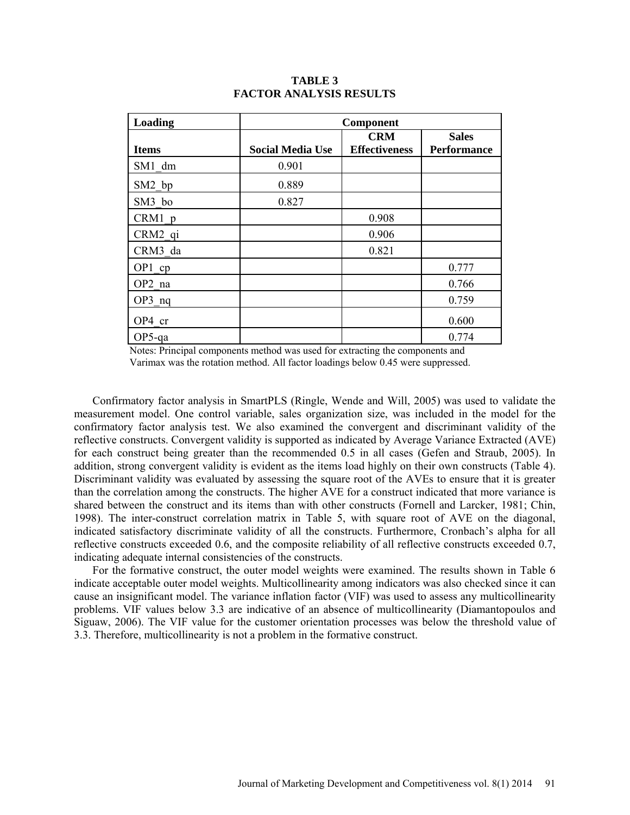| Loading      | Component               |                                    |                                    |  |
|--------------|-------------------------|------------------------------------|------------------------------------|--|
| <b>Items</b> | <b>Social Media Use</b> | <b>CRM</b><br><b>Effectiveness</b> | <b>Sales</b><br><b>Performance</b> |  |
| SM1 dm       | 0.901                   |                                    |                                    |  |
| SM2 bp       | 0.889                   |                                    |                                    |  |
| SM3 bo       | 0.827                   |                                    |                                    |  |
| CRM1 p       |                         | 0.908                              |                                    |  |
| CRM2 qi      |                         | 0.906                              |                                    |  |
| CRM3 da      |                         | 0.821                              |                                    |  |
| OP1 cp       |                         |                                    | 0.777                              |  |
| OP2 na       |                         |                                    | 0.766                              |  |
| $OP3$ nq     |                         |                                    | 0.759                              |  |
| OP4 cr       |                         |                                    | 0.600                              |  |
| $OP5$ -qa    |                         |                                    | 0.774                              |  |

## **TABLE 3 FACTOR ANALYSIS RESULTS**

Notes: Principal components method was used for extracting the components and

Varimax was the rotation method. All factor loadings below 0.45 were suppressed.

Confirmatory factor analysis in SmartPLS (Ringle, Wende and Will, 2005) was used to validate the measurement model. One control variable, sales organization size, was included in the model for the confirmatory factor analysis test. We also examined the convergent and discriminant validity of the reflective constructs. Convergent validity is supported as indicated by Average Variance Extracted (AVE) for each construct being greater than the recommended 0.5 in all cases (Gefen and Straub, 2005). In addition, strong convergent validity is evident as the items load highly on their own constructs (Table 4). Discriminant validity was evaluated by assessing the square root of the AVEs to ensure that it is greater than the correlation among the constructs. The higher AVE for a construct indicated that more variance is shared between the construct and its items than with other constructs (Fornell and Larcker, 1981; Chin, 1998). The inter-construct correlation matrix in Table 5, with square root of AVE on the diagonal, indicated satisfactory discriminate validity of all the constructs. Furthermore, Cronbach's alpha for all reflective constructs exceeded 0.6, and the composite reliability of all reflective constructs exceeded 0.7, indicating adequate internal consistencies of the constructs.

For the formative construct, the outer model weights were examined. The results shown in Table 6 indicate acceptable outer model weights. Multicollinearity among indicators was also checked since it can cause an insignificant model. The variance inflation factor (VIF) was used to assess any multicollinearity problems. VIF values below 3.3 are indicative of an absence of multicollinearity (Diamantopoulos and Siguaw, 2006). The VIF value for the customer orientation processes was below the threshold value of 3.3. Therefore, multicollinearity is not a problem in the formative construct.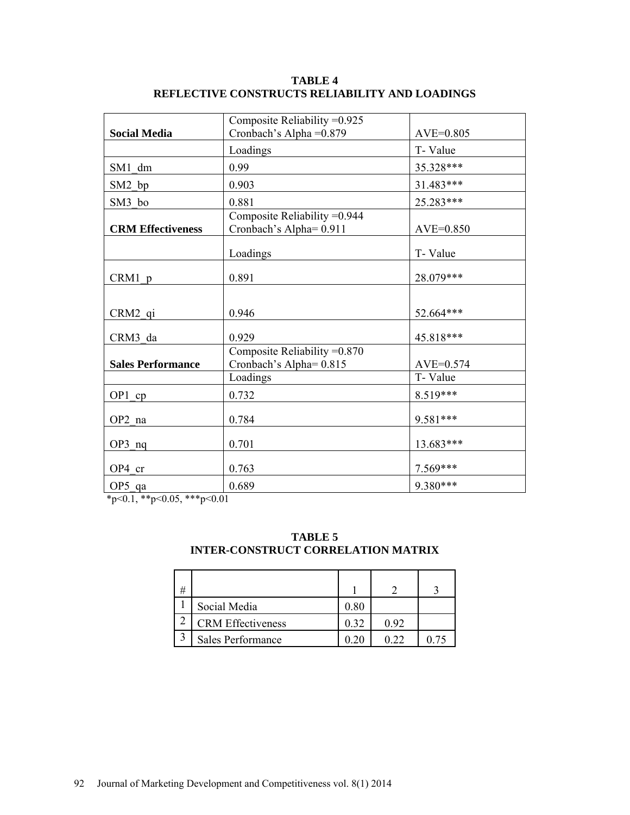| Composite Reliability = 0.925                                                        |                                                          |             |
|--------------------------------------------------------------------------------------|----------------------------------------------------------|-------------|
| <b>Social Media</b>                                                                  | Cronbach's Alpha = 0.879                                 | $AVE=0.805$ |
|                                                                                      | Loadings                                                 | T-Value     |
| SM1 dm                                                                               | 0.99                                                     | 35.328***   |
| $SM2$ _bp                                                                            | 0.903                                                    | 31.483***   |
| SM3 bo                                                                               | 0.881                                                    | 25.283***   |
| Composite Reliability = 0.944<br>Cronbach's Alpha= 0.911<br><b>CRM Effectiveness</b> |                                                          | $AVE=0.850$ |
|                                                                                      | Loadings                                                 | T-Value     |
| CRM1 p                                                                               | 0.891                                                    | 28.079***   |
| CRM2 qi                                                                              | 0.946                                                    | 52.664***   |
| CRM3 da                                                                              | 0.929                                                    | 45.818***   |
| <b>Sales Performance</b>                                                             | Composite Reliability = 0.870<br>Cronbach's Alpha= 0.815 | $AVE=0.574$ |
|                                                                                      | Loadings                                                 | T-Value     |
| $OP1$ <sub>_</sub> cp                                                                | 0.732                                                    | 8.519***    |
| OP2 na                                                                               | 0.784                                                    | 9.581***    |
| $OP3$ nq                                                                             | 0.701                                                    | 13.683***   |
| OP4 cr                                                                               | 0.763                                                    | 7.569***    |
| OP5_qa                                                                               | 0.689                                                    | 9.380***    |

**TABLE 4 REFLECTIVE CONSTRUCTS RELIABILITY AND LOADINGS**

 $*_{p<0.1,**p<0.05,***p<0.01}$ 

## **TABLE 5 INTER-CONSTRUCT CORRELATION MATRIX**

| # |                          |      |      |      |
|---|--------------------------|------|------|------|
|   | Social Media             | 0.80 |      |      |
| ⌒ | <b>CRM</b> Effectiveness | 0.32 | 0.92 |      |
| ◠ | Sales Performance        |      | 0.22 | በ 7ና |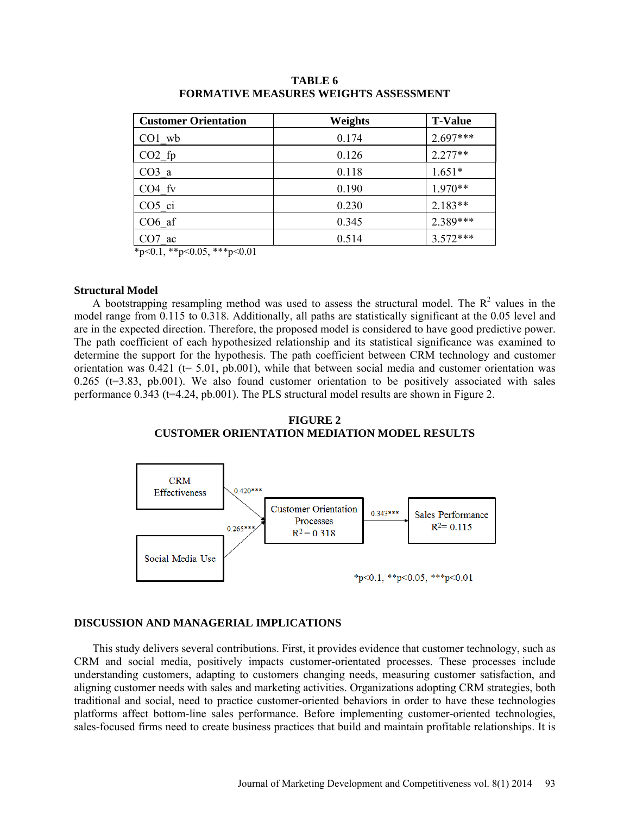| <b>Customer Orientation</b>                                                                                              | Weights | <b>T-Value</b> |
|--------------------------------------------------------------------------------------------------------------------------|---------|----------------|
| CO1 wb                                                                                                                   | 0.174   | $2.697***$     |
| $CO2$ fp                                                                                                                 | 0.126   | $2.277**$      |
| CO3a                                                                                                                     | 0.118   | $1.651*$       |
| $CO4$ fv                                                                                                                 | 0.190   | 1.970**        |
| CO <sub>5</sub> ci                                                                                                       | 0.230   | $2.183**$      |
| CO6 af                                                                                                                   | 0.345   | 2.389***       |
| ac<br>$\mathbf{a}$ and $\mathbf{a}$ and $\mathbf{a}$ and $\mathbf{a}$ and $\mathbf{a}$ and $\mathbf{a}$ and $\mathbf{a}$ | 0.514   | $3.572***$     |

**TABLE 6 FORMATIVE MEASURES WEIGHTS ASSESSMENT**

 $*p<0.1$ ,  $*p<0.05$ ,  $**p<0.01$ 

### **Structural Model**

A bootstrapping resampling method was used to assess the structural model. The  $R^2$  values in the model range from 0.115 to 0.318. Additionally, all paths are statistically significant at the 0.05 level and are in the expected direction. Therefore, the proposed model is considered to have good predictive power. The path coefficient of each hypothesized relationship and its statistical significance was examined to determine the support for the hypothesis. The path coefficient between CRM technology and customer orientation was  $0.421$  (t= 5.01, pb.001), while that between social media and customer orientation was  $0.265$  (t=3.83, pb.001). We also found customer orientation to be positively associated with sales performance 0.343 (t=4.24, pb.001). The PLS structural model results are shown in Figure 2.

## **FIGURE 2 CUSTOMER ORIENTATION MEDIATION MODEL RESULTS**



## **DISCUSSION AND MANAGERIAL IMPLICATIONS**

This study delivers several contributions. First, it provides evidence that customer technology, such as CRM and social media, positively impacts customer-orientated processes. These processes include understanding customers, adapting to customers changing needs, measuring customer satisfaction, and aligning customer needs with sales and marketing activities. Organizations adopting CRM strategies, both traditional and social, need to practice customer-oriented behaviors in order to have these technologies platforms affect bottom-line sales performance. Before implementing customer-oriented technologies, sales-focused firms need to create business practices that build and maintain profitable relationships. It is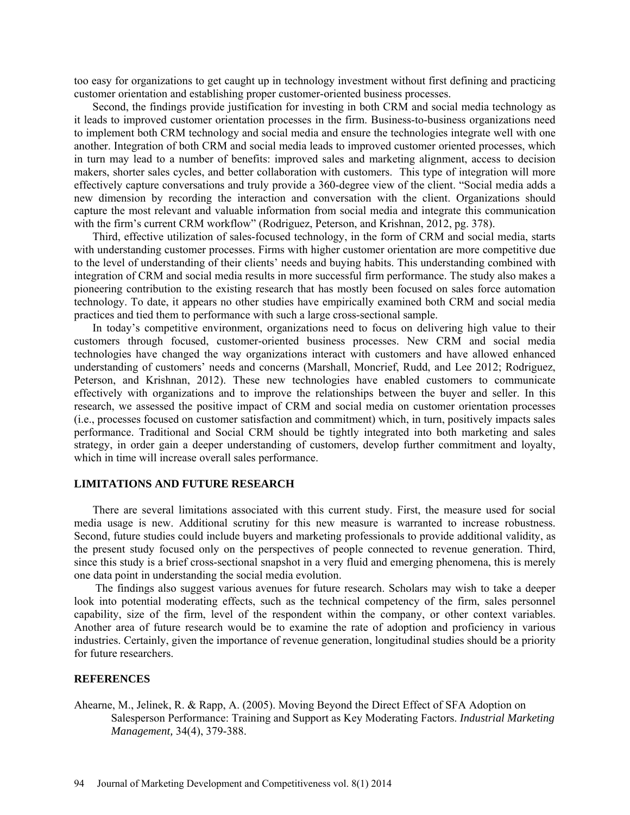too easy for organizations to get caught up in technology investment without first defining and practicing customer orientation and establishing proper customer-oriented business processes.

Second, the findings provide justification for investing in both CRM and social media technology as it leads to improved customer orientation processes in the firm. Business-to-business organizations need to implement both CRM technology and social media and ensure the technologies integrate well with one another. Integration of both CRM and social media leads to improved customer oriented processes, which in turn may lead to a number of benefits: improved sales and marketing alignment, access to decision makers, shorter sales cycles, and better collaboration with customers. This type of integration will more effectively capture conversations and truly provide a 360-degree view of the client. "Social media adds a new dimension by recording the interaction and conversation with the client. Organizations should capture the most relevant and valuable information from social media and integrate this communication with the firm's current CRM workflow" (Rodriguez, Peterson, and Krishnan, 2012, pg. 378).

Third, effective utilization of sales-focused technology, in the form of CRM and social media, starts with understanding customer processes. Firms with higher customer orientation are more competitive due to the level of understanding of their clients' needs and buying habits. This understanding combined with integration of CRM and social media results in more successful firm performance. The study also makes a pioneering contribution to the existing research that has mostly been focused on sales force automation technology. To date, it appears no other studies have empirically examined both CRM and social media practices and tied them to performance with such a large cross-sectional sample.

In today's competitive environment, organizations need to focus on delivering high value to their customers through focused, customer-oriented business processes. New CRM and social media technologies have changed the way organizations interact with customers and have allowed enhanced understanding of customers' needs and concerns (Marshall, Moncrief, Rudd, and Lee 2012; Rodriguez, Peterson, and Krishnan, 2012). These new technologies have enabled customers to communicate effectively with organizations and to improve the relationships between the buyer and seller. In this research, we assessed the positive impact of CRM and social media on customer orientation processes (i.e., processes focused on customer satisfaction and commitment) which, in turn, positively impacts sales performance. Traditional and Social CRM should be tightly integrated into both marketing and sales strategy, in order gain a deeper understanding of customers, develop further commitment and loyalty, which in time will increase overall sales performance.

## **LIMITATIONS AND FUTURE RESEARCH**

There are several limitations associated with this current study. First, the measure used for social media usage is new. Additional scrutiny for this new measure is warranted to increase robustness. Second, future studies could include buyers and marketing professionals to provide additional validity, as the present study focused only on the perspectives of people connected to revenue generation. Third, since this study is a brief cross-sectional snapshot in a very fluid and emerging phenomena, this is merely one data point in understanding the social media evolution.

The findings also suggest various avenues for future research. Scholars may wish to take a deeper look into potential moderating effects, such as the technical competency of the firm, sales personnel capability, size of the firm, level of the respondent within the company, or other context variables. Another area of future research would be to examine the rate of adoption and proficiency in various industries. Certainly, given the importance of revenue generation, longitudinal studies should be a priority for future researchers.

## **REFERENCES**

Ahearne, M., Jelinek, R. & Rapp, A. (2005). Moving Beyond the Direct Effect of SFA Adoption on Salesperson Performance: Training and Support as Key Moderating Factors. *Industrial Marketing Management,* 34(4), 379-388.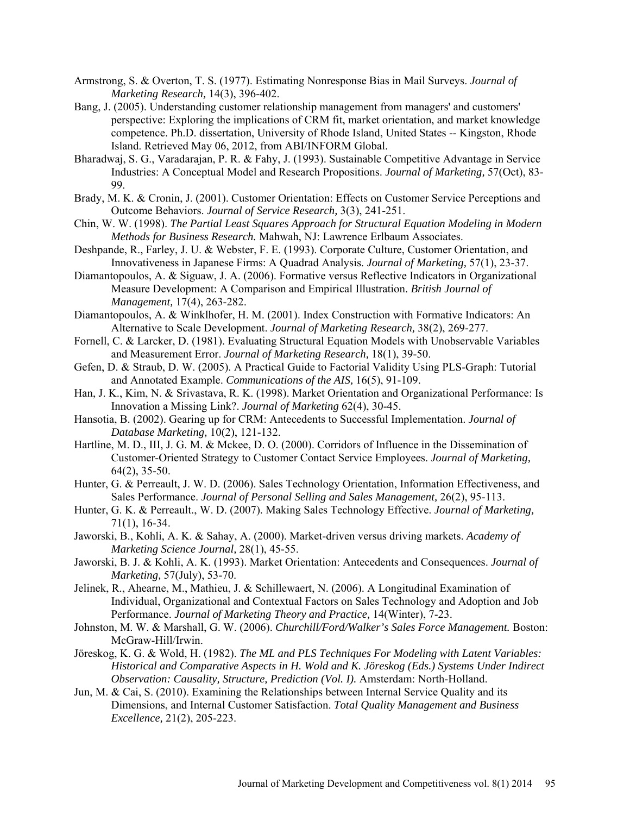- Armstrong, S. & Overton, T. S. (1977). Estimating Nonresponse Bias in Mail Surveys. *Journal of Marketing Research,* 14(3), 396-402.
- Bang, J. (2005). Understanding customer relationship management from managers' and customers' perspective: Exploring the implications of CRM fit, market orientation, and market knowledge competence. Ph.D. dissertation, University of Rhode Island, United States -- Kingston, Rhode Island. Retrieved May 06, 2012, from ABI/INFORM Global.
- Bharadwaj, S. G., Varadarajan, P. R. & Fahy, J. (1993). Sustainable Competitive Advantage in Service Industries: A Conceptual Model and Research Propositions. *Journal of Marketing,* 57(Oct), 83- 99.
- Brady, M. K. & Cronin, J. (2001). Customer Orientation: Effects on Customer Service Perceptions and Outcome Behaviors. *Journal of Service Research,* 3(3), 241-251.
- Chin, W. W. (1998). *The Partial Least Squares Approach for Structural Equation Modeling in Modern Methods for Business Research.* Mahwah, NJ: Lawrence Erlbaum Associates.
- Deshpande, R., Farley, J. U. & Webster, F. E. (1993). Corporate Culture, Customer Orientation, and Innovativeness in Japanese Firms: A Quadrad Analysis. *Journal of Marketing,* 57(1), 23-37.
- Diamantopoulos, A. & Siguaw, J. A. (2006). Formative versus Reflective Indicators in Organizational Measure Development: A Comparison and Empirical Illustration. *British Journal of Management,* 17(4), 263-282.
- Diamantopoulos, A. & Winklhofer, H. M. (2001). Index Construction with Formative Indicators: An Alternative to Scale Development. *Journal of Marketing Research,* 38(2), 269-277.
- Fornell, C. & Larcker, D. (1981). Evaluating Structural Equation Models with Unobservable Variables and Measurement Error. *Journal of Marketing Research,* 18(1), 39-50.
- Gefen, D. & Straub, D. W. (2005). A Practical Guide to Factorial Validity Using PLS-Graph: Tutorial and Annotated Example. *Communications of the AIS,* 16(5), 91-109.
- Han, J. K., Kim, N. & Srivastava, R. K. (1998). Market Orientation and Organizational Performance: Is Innovation a Missing Link?. *Journal of Marketing* 62(4), 30-45.
- Hansotia, B. (2002). Gearing up for CRM: Antecedents to Successful Implementation. *Journal of Database Marketing,* 10(2), 121-132.
- Hartline, M. D., III, J. G. M. & Mckee, D. O. (2000). Corridors of Influence in the Dissemination of Customer-Oriented Strategy to Customer Contact Service Employees. *Journal of Marketing,* 64(2), 35-50.
- Hunter, G. & Perreault, J. W. D. (2006). Sales Technology Orientation, Information Effectiveness, and Sales Performance. *Journal of Personal Selling and Sales Management,* 26(2), 95-113.
- Hunter, G. K. & Perreault., W. D. (2007). Making Sales Technology Effective. *Journal of Marketing,* 71(1), 16-34.
- Jaworski, B., Kohli, A. K. & Sahay, A. (2000). Market-driven versus driving markets. *Academy of Marketing Science Journal,* 28(1), 45-55.
- Jaworski, B. J. & Kohli, A. K. (1993). Market Orientation: Antecedents and Consequences. *Journal of Marketing,* 57(July), 53-70.
- Jelinek, R., Ahearne, M., Mathieu, J. & Schillewaert, N. (2006). A Longitudinal Examination of Individual, Organizational and Contextual Factors on Sales Technology and Adoption and Job Performance. *Journal of Marketing Theory and Practice,* 14(Winter), 7-23.
- Johnston, M. W. & Marshall, G. W. (2006). *Churchill/Ford/Walker's Sales Force Management.* Boston: McGraw-Hill/Irwin.
- Jöreskog, K. G. & Wold, H. (1982). *The ML and PLS Techniques For Modeling with Latent Variables: Historical and Comparative Aspects in H. Wold and K. Jöreskog (Eds.) Systems Under Indirect Observation: Causality, Structure, Prediction (Vol. I).* Amsterdam: North-Holland.
- Jun, M. & Cai, S. (2010). Examining the Relationships between Internal Service Quality and its Dimensions, and Internal Customer Satisfaction. *Total Quality Management and Business Excellence,* 21(2), 205-223.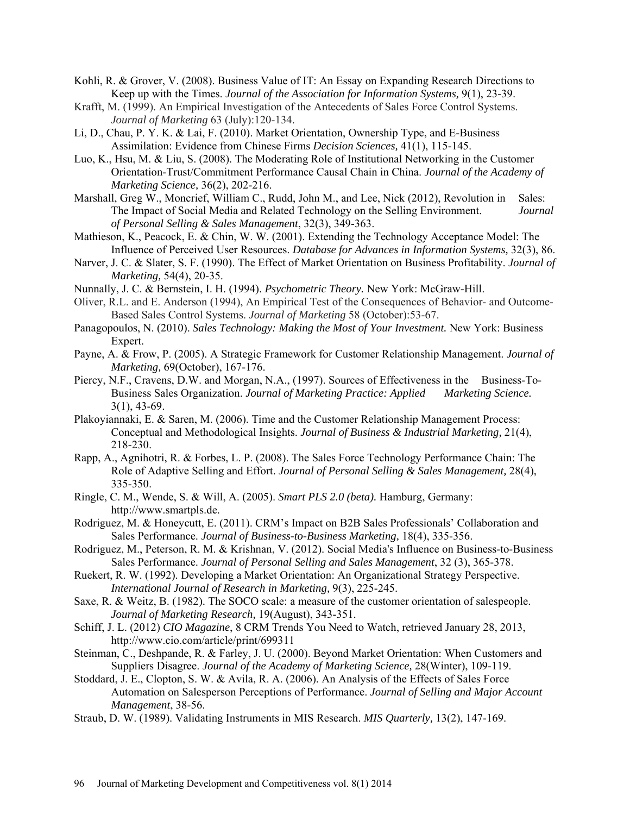- Kohli, R. & Grover, V. (2008). Business Value of IT: An Essay on Expanding Research Directions to Keep up with the Times. *Journal of the Association for Information Systems,* 9(1), 23-39.
- Krafft, M. (1999). An Empirical Investigation of the Antecedents of Sales Force Control Systems. *Journal of Marketing* 63 (July):120-134.
- Li, D., Chau, P. Y. K. & Lai, F. (2010). Market Orientation, Ownership Type, and E-Business Assimilation: Evidence from Chinese Firms *Decision Sciences,* 41(1), 115-145.
- Luo, K., Hsu, M. & Liu, S. (2008). The Moderating Role of Institutional Networking in the Customer Orientation-Trust/Commitment Performance Causal Chain in China. *Journal of the Academy of Marketing Science,* 36(2), 202-216.
- Marshall, Greg W., Moncrief, William C., Rudd, John M., and Lee, Nick (2012), [Revolution in Sales:](http://www.ulib.niu.edu:4426/bsi/viewarticle?data=dGJyMPPp44rp2%2fdV0%2bnjisfk5Ie46a9It6yzTbCk63nn5Kx68%2bnhh%2bvm6n3y275JsKWvTK2orkmwlrBSsK64TbCWzmWk6vB57Onfe%2fLf7Ybn2rtFsKexUK6pt0qvrqSE3%2bTlVePkpHzgs%2bCM5pzyeeWzv2ak1%2bxVta6vSa6tt0ik3O2K69fyVeTr6oTy2%2faM&hid=25)  [The Impact of Social Media and Related Technology on the Selling Environment.](http://www.ulib.niu.edu:4426/bsi/viewarticle?data=dGJyMPPp44rp2%2fdV0%2bnjisfk5Ie46a9It6yzTbCk63nn5Kx68%2bnhh%2bvm6n3y275JsKWvTK2orkmwlrBSsK64TbCWzmWk6vB57Onfe%2fLf7Ybn2rtFsKexUK6pt0qvrqSE3%2bTlVePkpHzgs%2bCM5pzyeeWzv2ak1%2bxVta6vSa6tt0ik3O2K69fyVeTr6oTy2%2faM&hid=25) *Journal of Personal Selling & Sales Management*, 32(3), 349-363.
- Mathieson, K., Peacock, E. & Chin, W. W. (2001). Extending the Technology Acceptance Model: The Influence of Perceived User Resources. *Database for Advances in Information Systems,* 32(3), 86.
- Narver, J. C. & Slater, S. F. (1990). The Effect of Market Orientation on Business Profitability. *Journal of Marketing,* 54(4), 20-35.
- Nunnally, J. C. & Bernstein, I. H. (1994). *Psychometric Theory.* New York: McGraw-Hill.
- Oliver, R.L. and E. Anderson (1994), An Empirical Test of the Consequences of Behavior- and Outcome-Based Sales Control Systems. *Journal of Marketing* 58 (October):53-67.
- Panagopoulos, N. (2010). *Sales Technology: Making the Most of Your Investment.* New York: Business Expert.
- Payne, A. & Frow, P. (2005). A Strategic Framework for Customer Relationship Management. *Journal of Marketing,* 69(October), 167-176.
- Piercy, N.F., Cravens, D.W. and Morgan, N.A., (1997). Sources of Effectiveness in the Business-To-Business Sales Organization. *Journal of Marketing Practice: Applied Marketing Science.* 3(1), 43-69.
- Plakoyiannaki, E. & Saren, M. (2006). Time and the Customer Relationship Management Process: Conceptual and Methodological Insights. *Journal of Business & Industrial Marketing,* 21(4), 218-230.
- Rapp, A., Agnihotri, R. & Forbes, L. P. (2008). The Sales Force Technology Performance Chain: The Role of Adaptive Selling and Effort. *Journal of Personal Selling & Sales Management,* 28(4), 335-350.
- Ringle, C. M., Wende, S. & Will, A. (2005). *Smart PLS 2.0 (beta).* Hamburg, Germany: [http://www.smartpls.de.](http://www.smartpls.de/)
- Rodriguez, M. & Honeycutt, E. (2011). CRM's Impact on B2B Sales Professionals' Collaboration and Sales Performance. *Journal of Business-to-Business Marketing,* 18(4), 335-356.
- Rodriguez, M., Peterson, R. M. & Krishnan, V. (2012). Social Media's Influence on Business-to-Business Sales Performance. *Journal of Personal Selling and Sales Management*, 32 (3), 365-378.
- Ruekert, R. W. (1992). Developing a Market Orientation: An Organizational Strategy Perspective. *International Journal of Research in Marketing,* 9(3), 225-245.
- Saxe, R. & Weitz, B. (1982). The SOCO scale: a measure of the customer orientation of salespeople. *Journal of Marketing Research,* 19(August), 343-351.
- Schiff, J. L. (2012) *CIO Magazine*, 8 CRM Trends You Need to Watch, retrieved January 28, 2013, http://www.cio.com/article/print/699311
- Steinman, C., Deshpande, R. & Farley, J. U. (2000). Beyond Market Orientation: When Customers and Suppliers Disagree. *Journal of the Academy of Marketing Science,* 28(Winter), 109-119.
- Stoddard, J. E., Clopton, S. W. & Avila, R. A. (2006). An Analysis of the Effects of Sales Force Automation on Salesperson Perceptions of Performance. *Journal of Selling and Major Account Management*, 38-56.
- Straub, D. W. (1989). Validating Instruments in MIS Research. *MIS Quarterly,* 13(2), 147-169.